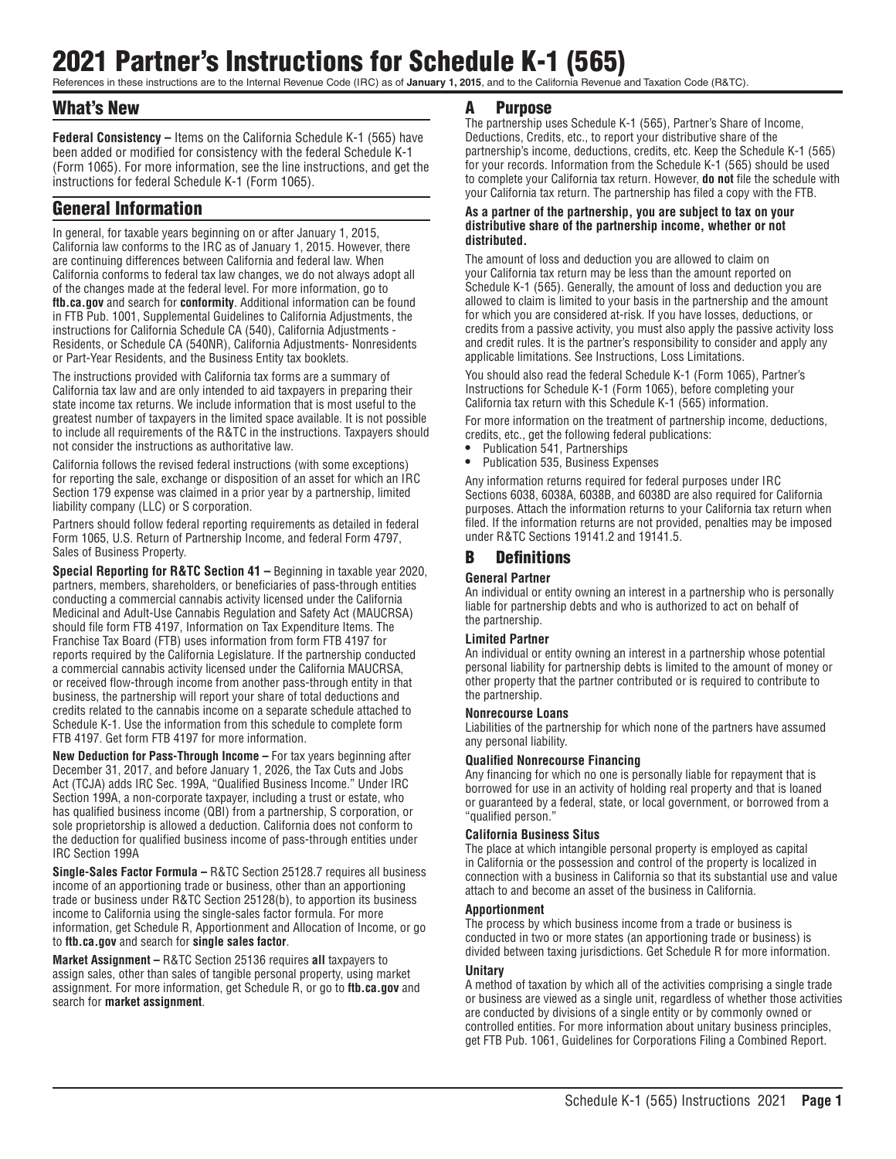# 2021 Partner's Instructions for Schedule K-1 (565)

References in these instructions are to the Internal Revenue Code (IRC) as of **January 1, 2015**, and to the California Revenue and Taxation Code (R&TC).

# What's New

**Federal Consistency –** Items on the California Schedule K-1 (565) have been added or modified for consistency with the federal Schedule K-1 (Form 1065). For more information, see the line instructions, and get the instructions for federal Schedule K-1 (Form 1065).

# General Information

In general, for taxable years beginning on or after January 1, 2015, California law conforms to the IRC as of January 1, 2015. However, there are continuing differences between California and federal law. When California conforms to federal tax law changes, we do not always adopt all of the changes made at the federal level. For more information, go to **ftb.ca.gov** and search for **conformity**. Additional information can be found in FTB Pub. 1001, Supplemental Guidelines to California Adjustments, the instructions for California Schedule CA (540), California Adjustments - Residents, or Schedule CA (540NR), California Adjustments- Nonresidents or Part-Year Residents, and the Business Entity tax booklets.

The instructions provided with California tax forms are a summary of California tax law and are only intended to aid taxpayers in preparing their state income tax returns. We include information that is most useful to the greatest number of taxpayers in the limited space available. It is not possible to include all requirements of the R&TC in the instructions. Taxpayers should not consider the instructions as authoritative law.

California follows the revised federal instructions (with some exceptions) for reporting the sale, exchange or disposition of an asset for which an IRC Section 179 expense was claimed in a prior year by a partnership, limited liability company (LLC) or S corporation.

Partners should follow federal reporting requirements as detailed in federal Form 1065, U.S. Return of Partnership Income, and federal Form 4797, Sales of Business Property.

**Special Reporting for R&TC Section 41 –** Beginning in taxable year 2020, partners, members, shareholders, or beneficiaries of pass-through entities conducting a commercial cannabis activity licensed under the California Medicinal and Adult-Use Cannabis Regulation and Safety Act (MAUCRSA) should file form FTB 4197, Information on Tax Expenditure Items. The Franchise Tax Board (FTB) uses information from form FTB 4197 for reports required by the California Legislature. If the partnership conducted a commercial cannabis activity licensed under the California MAUCRSA, or received flow-through income from another pass-through entity in that business, the partnership will report your share of total deductions and credits related to the cannabis income on a separate schedule attached to Schedule K-1. Use the information from this schedule to complete form FTB 4197. Get form FTB 4197 for more information.

**New Deduction for Pass-Through Income –** For tax years beginning after December 31, 2017, and before January 1, 2026, the Tax Cuts and Jobs Act (TCJA) adds IRC Sec. 199A, "Qualified Business Income." Under IRC Section 199A, a non-corporate taxpayer, including a trust or estate, who has qualified business income (QBI) from a partnership, S corporation, or sole proprietorship is allowed a deduction. California does not conform to the deduction for qualified business income of pass-through entities under IRC Section 199A

**Single-Sales Factor Formula –** R&TC Section 25128.7 requires all business income of an apportioning trade or business, other than an apportioning trade or business under R&TC Section 25128(b), to apportion its business income to California using the single-sales factor formula. For more information, get Schedule R, Apportionment and Allocation of Income, or go to **ftb.ca.gov** and search for **single sales factor**.

**Market Assignment –** R&TC Section 25136 requires **all** taxpayers to assign sales, other than sales of tangible personal property, using market assignment. For more information, get Schedule R, or go to **ftb.ca.gov** and search for **market assignment**.

### A Purpose

The partnership uses Schedule K-1 (565), Partner's Share of Income, Deductions, Credits, etc., to report your distributive share of the partnership's income, deductions, credits, etc. Keep the Schedule K-1 (565) for your records. Information from the Schedule K-1 (565) should be used to complete your California tax return. However, **do not** file the schedule with your California tax return. The partnership has filed a copy with the FTB.

#### **As a partner of the partnership, you are subject to tax on your distributive share of the partnership income, whether or not distributed.**

The amount of loss and deduction you are allowed to claim on your California tax return may be less than the amount reported on Schedule K-1 (565). Generally, the amount of loss and deduction you are allowed to claim is limited to your basis in the partnership and the amount for which you are considered at-risk. If you have losses, deductions, or credits from a passive activity, you must also apply the passive activity loss and credit rules. It is the partner's responsibility to consider and apply any applicable limitations. See Instructions, Loss Limitations.

You should also read the federal Schedule K-1 (Form 1065), Partner's Instructions for Schedule K-1 (Form 1065), before completing your California tax return with this Schedule K-1 (565) information.

For more information on the treatment of partnership income, deductions, credits, etc., get the following federal publications:

- **•** Publication 541, Partnerships
- **•** Publication 535, Business Expenses

Any information returns required for federal purposes under IRC Sections 6038, 6038A, 6038B, and 6038D are also required for California purposes. Attach the information returns to your California tax return when filed. If the information returns are not provided, penalties may be imposed under R&TC Sections 19141.2 and 19141.5.

# B Definitions

#### **General Partner**

An individual or entity owning an interest in a partnership who is personally liable for partnership debts and who is authorized to act on behalf of the partnership.

#### **Limited Partner**

An individual or entity owning an interest in a partnership whose potential personal liability for partnership debts is limited to the amount of money or other property that the partner contributed or is required to contribute to the partnership.

#### **Nonrecourse Loans**

Liabilities of the partnership for which none of the partners have assumed any personal liability.

#### **Qualified Nonrecourse Financing**

Any financing for which no one is personally liable for repayment that is borrowed for use in an activity of holding real property and that is loaned or guaranteed by a federal, state, or local government, or borrowed from a "qualified person."

#### **California Business Situs**

The place at which intangible personal property is employed as capital in California or the possession and control of the property is localized in connection with a business in California so that its substantial use and value attach to and become an asset of the business in California.

#### **Apportionment**

The process by which business income from a trade or business is conducted in two or more states (an apportioning trade or business) is divided between taxing jurisdictions. Get Schedule R for more information.

#### **Unitary**

A method of taxation by which all of the activities comprising a single trade or business are viewed as a single unit, regardless of whether those activities are conducted by divisions of a single entity or by commonly owned or controlled entities. For more information about unitary business principles, get FTB Pub. 1061, Guidelines for Corporations Filing a Combined Report.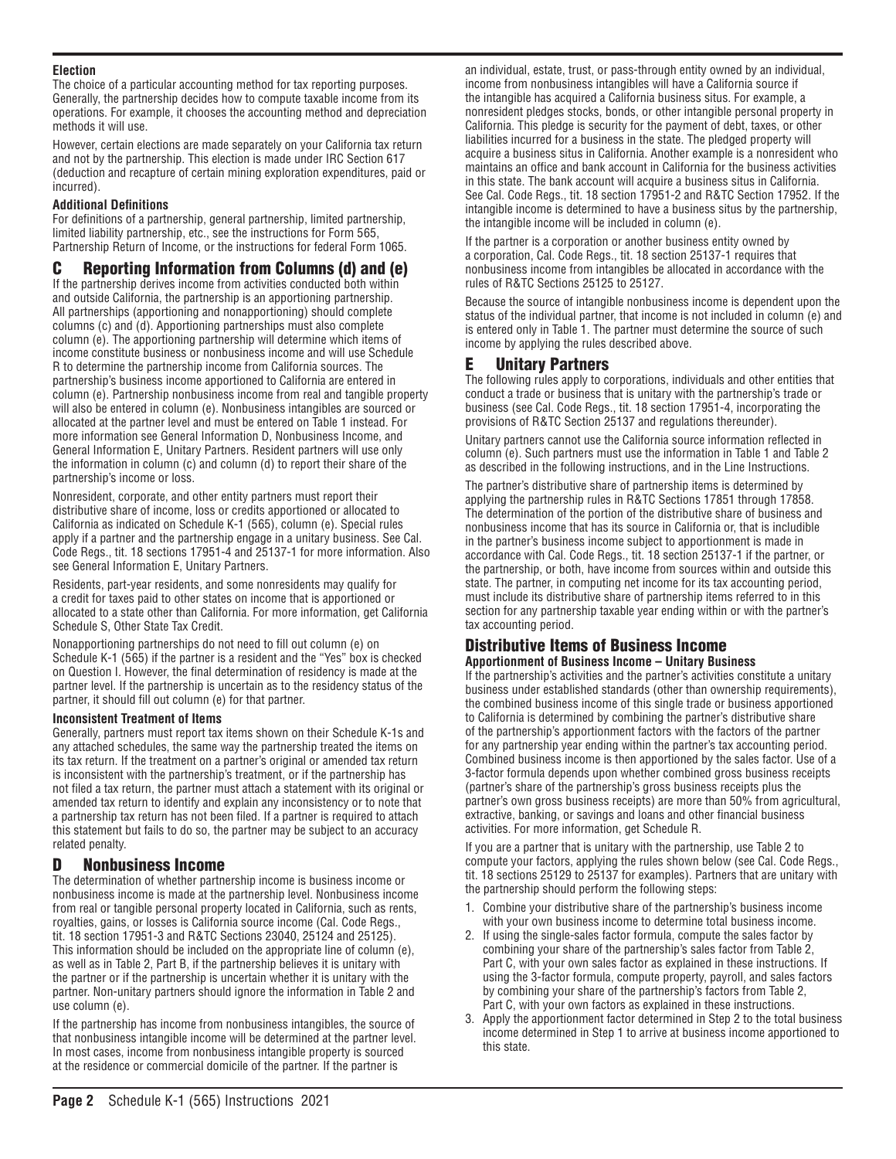### **Election**

The choice of a particular accounting method for tax reporting purposes. Generally, the partnership decides how to compute taxable income from its operations. For example, it chooses the accounting method and depreciation methods it will use.

However, certain elections are made separately on your California tax return and not by the partnership. This election is made under IRC Section 617 (deduction and recapture of certain mining exploration expenditures, paid or incurred).

### **Additional Definitions**

For definitions of a partnership, general partnership, limited partnership, limited liability partnership, etc., see the instructions for Form 565, Partnership Return of Income, or the instructions for federal Form 1065.

# C Reporting Information from Columns (d) and (e)

If the partnership derives income from activities conducted both within and outside California, the partnership is an apportioning partnership. All partnerships (apportioning and nonapportioning) should complete columns (c) and (d). Apportioning partnerships must also complete column (e). The apportioning partnership will determine which items of income constitute business or nonbusiness income and will use Schedule R to determine the partnership income from California sources. The partnership's business income apportioned to California are entered in column (e). Partnership nonbusiness income from real and tangible property will also be entered in column (e). Nonbusiness intangibles are sourced or allocated at the partner level and must be entered on Table 1 instead. For more information see General Information D, Nonbusiness Income, and General Information E, Unitary Partners. Resident partners will use only the information in column (c) and column (d) to report their share of the partnership's income or loss.

Nonresident, corporate, and other entity partners must report their distributive share of income, loss or credits apportioned or allocated to California as indicated on Schedule K-1 (565), column (e). Special rules apply if a partner and the partnership engage in a unitary business. See Cal. Code Regs., tit. 18 sections 17951-4 and 25137-1 for more information. Also see General Information E, Unitary Partners.

Residents, part-year residents, and some nonresidents may qualify for a credit for taxes paid to other states on income that is apportioned or allocated to a state other than California. For more information, get California Schedule S, Other State Tax Credit.

Nonapportioning partnerships do not need to fill out column (e) on Schedule K-1 (565) if the partner is a resident and the "Yes" box is checked on Question I. However, the final determination of residency is made at the partner level. If the partnership is uncertain as to the residency status of the partner, it should fill out column (e) for that partner.

#### **Inconsistent Treatment of Items**

Generally, partners must report tax items shown on their Schedule K-1s and any attached schedules, the same way the partnership treated the items on its tax return. If the treatment on a partner's original or amended tax return is inconsistent with the partnership's treatment, or if the partnership has not filed a tax return, the partner must attach a statement with its original or amended tax return to identify and explain any inconsistency or to note that a partnership tax return has not been filed. If a partner is required to attach this statement but fails to do so, the partner may be subject to an accuracy related penalty.

# D Nonbusiness Income

The determination of whether partnership income is business income or nonbusiness income is made at the partnership level. Nonbusiness income from real or tangible personal property located in California, such as rents, royalties, gains, or losses is California source income (Cal. Code Regs., tit. 18 section 17951-3 and R&TC Sections 23040, 25124 and 25125). This information should be included on the appropriate line of column (e), as well as in Table 2, Part B, if the partnership believes it is unitary with the partner or if the partnership is uncertain whether it is unitary with the partner. Non-unitary partners should ignore the information in Table 2 and use column (e).

If the partnership has income from nonbusiness intangibles, the source of that nonbusiness intangible income will be determined at the partner level. In most cases, income from nonbusiness intangible property is sourced at the residence or commercial domicile of the partner. If the partner is

an individual, estate, trust, or pass-through entity owned by an individual, income from nonbusiness intangibles will have a California source if the intangible has acquired a California business situs. For example, a nonresident pledges stocks, bonds, or other intangible personal property in California. This pledge is security for the payment of debt, taxes, or other liabilities incurred for a business in the state. The pledged property will acquire a business situs in California. Another example is a nonresident who maintains an office and bank account in California for the business activities in this state. The bank account will acquire a business situs in California. See Cal. Code Regs., tit. 18 section 17951-2 and R&TC Section 17952. If the intangible income is determined to have a business situs by the partnership, the intangible income will be included in column (e).

If the partner is a corporation or another business entity owned by a corporation, Cal. Code Regs., tit. 18 section 25137-1 requires that nonbusiness income from intangibles be allocated in accordance with the rules of R&TC Sections 25125 to 25127.

Because the source of intangible nonbusiness income is dependent upon the status of the individual partner, that income is not included in column (e) and is entered only in Table 1. The partner must determine the source of such income by applying the rules described above.

# E Unitary Partners

The following rules apply to corporations, individuals and other entities that conduct a trade or business that is unitary with the partnership's trade or business (see Cal. Code Regs., tit. 18 section 17951-4, incorporating the provisions of R&TC Section 25137 and regulations thereunder).

Unitary partners cannot use the California source information reflected in column (e). Such partners must use the information in Table 1 and Table 2 as described in the following instructions, and in the Line Instructions.

The partner's distributive share of partnership items is determined by applying the partnership rules in R&TC Sections 17851 through 17858. The determination of the portion of the distributive share of business and nonbusiness income that has its source in California or, that is includible in the partner's business income subject to apportionment is made in accordance with Cal. Code Regs., tit. 18 section 25137-1 if the partner, or the partnership, or both, have income from sources within and outside this state. The partner, in computing net income for its tax accounting period, must include its distributive share of partnership items referred to in this section for any partnership taxable year ending within or with the partner's tax accounting period.

### Distributive Items of Business Income **Apportionment of Business Income – Unitary Business**

If the partnership's activities and the partner's activities constitute a unitary business under established standards (other than ownership requirements), the combined business income of this single trade or business apportioned to California is determined by combining the partner's distributive share of the partnership's apportionment factors with the factors of the partner for any partnership year ending within the partner's tax accounting period. Combined business income is then apportioned by the sales factor. Use of a 3-factor formula depends upon whether combined gross business receipts (partner's share of the partnership's gross business receipts plus the partner's own gross business receipts) are more than 50% from agricultural, extractive, banking, or savings and loans and other financial business activities. For more information, get Schedule R.

If you are a partner that is unitary with the partnership, use Table 2 to compute your factors, applying the rules shown below (see Cal. Code Regs., tit. 18 sections 25129 to 25137 for examples). Partners that are unitary with the partnership should perform the following steps:

- 1. Combine your distributive share of the partnership's business income with your own business income to determine total business income.
- 2. If using the single-sales factor formula, compute the sales factor by combining your share of the partnership's sales factor from Table 2, Part C, with your own sales factor as explained in these instructions. If using the 3-factor formula, compute property, payroll, and sales factors by combining your share of the partnership's factors from Table 2, Part C, with your own factors as explained in these instructions.
- 3. Apply the apportionment factor determined in Step 2 to the total business income determined in Step 1 to arrive at business income apportioned to this state.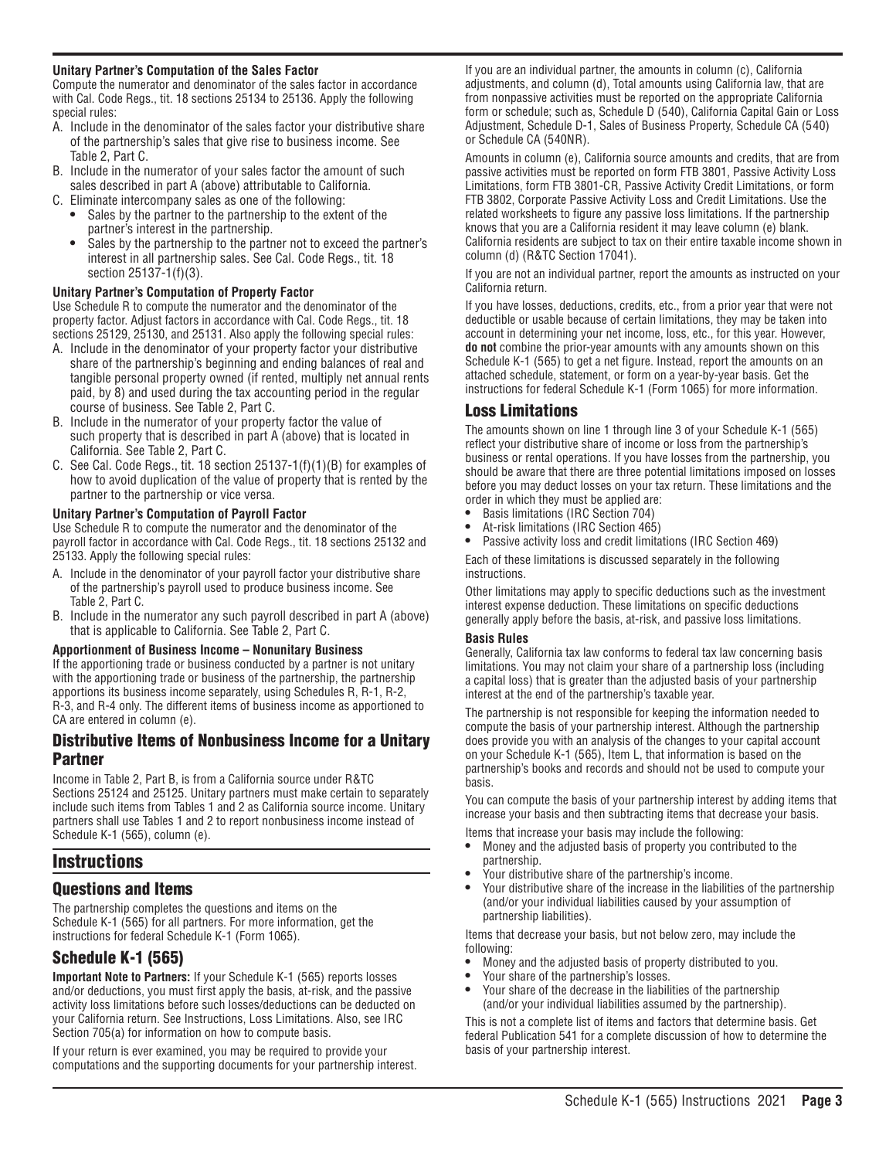#### **Unitary Partner's Computation of the Sales Factor**

Compute the numerator and denominator of the sales factor in accordance with Cal. Code Regs., tit. 18 sections 25134 to 25136. Apply the following special rules:

- A. Include in the denominator of the sales factor your distributive share of the partnership's sales that give rise to business income. See Table 2, Part C.
- B. Include in the numerator of your sales factor the amount of such sales described in part A (above) attributable to California.
- C. Eliminate intercompany sales as one of the following:
	- **•** Sales by the partner to the partnership to the extent of the partner's interest in the partnership.
	- **•** Sales by the partnership to the partner not to exceed the partner's interest in all partnership sales. See Cal. Code Regs., tit. 18 section 25137-1(f)(3).

#### **Unitary Partner's Computation of Property Factor**

Use Schedule R to compute the numerator and the denominator of the property factor. Adjust factors in accordance with Cal. Code Regs., tit. 18 sections 25129, 25130, and 25131. Also apply the following special rules:

- A. Include in the denominator of your property factor your distributive share of the partnership's beginning and ending balances of real and tangible personal property owned (if rented, multiply net annual rents paid, by 8) and used during the tax accounting period in the regular course of business. See Table 2, Part C.
- B. Include in the numerator of your property factor the value of such property that is described in part A (above) that is located in California. See Table 2, Part C.
- C. See Cal. Code Regs., tit. 18 section 25137-1(f)(1)(B) for examples of how to avoid duplication of the value of property that is rented by the partner to the partnership or vice versa.

#### **Unitary Partner's Computation of Payroll Factor**

Use Schedule R to compute the numerator and the denominator of the payroll factor in accordance with Cal. Code Regs., tit. 18 sections 25132 and 25133. Apply the following special rules:

- A. Include in the denominator of your payroll factor your distributive share of the partnership's payroll used to produce business income. See Table 2, Part C.
- B. Include in the numerator any such payroll described in part A (above) that is applicable to California. See Table 2, Part C.

#### **Apportionment of Business Income – Nonunitary Business**

If the apportioning trade or business conducted by a partner is not unitary with the apportioning trade or business of the partnership, the partnership apportions its business income separately, using Schedules R, R-1, R-2, R-3, and R-4 only. The different items of business income as apportioned to CA are entered in column (e).

### Distributive Items of Nonbusiness Income for a Unitary Partner

Income in Table 2, Part B, is from a California source under R&TC Sections 25124 and 25125. Unitary partners must make certain to separately include such items from Tables 1 and 2 as California source income. Unitary partners shall use Tables 1 and 2 to report nonbusiness income instead of Schedule K-1 (565), column (e).

# **Instructions**

# Questions and Items

The partnership completes the questions and items on the Schedule K-1 (565) for all partners. For more information, get the instructions for federal Schedule K-1 (Form 1065).

# Schedule K-1 (565)

**Important Note to Partners:** If your Schedule K-1 (565) reports losses and/or deductions, you must first apply the basis, at-risk, and the passive activity loss limitations before such losses/deductions can be deducted on your California return. See Instructions, Loss Limitations. Also, see IRC Section 705(a) for information on how to compute basis.

If your return is ever examined, you may be required to provide your computations and the supporting documents for your partnership interest.

If you are an individual partner, the amounts in column (c), California adjustments, and column (d), Total amounts using California law, that are from nonpassive activities must be reported on the appropriate California form or schedule; such as, Schedule D (540), California Capital Gain or Loss Adjustment, Schedule D-1, Sales of Business Property, Schedule CA (5 40) or Schedule CA (540NR).

Amounts in column (e), California source amounts and credits, that are from passive activities must be reported on form FTB 3801, Passive Activity Loss Limitations, form FTB 3801-CR, Passive Activity Credit Limitations, or form FTB 3802, Corporate Passive Activity Loss and Credit Limitations. Use the related worksheets to figure any passive loss limitations. If the partnership knows that you are a California resident it may leave column (e) blank. California residents are subject to tax on their entire taxable income shown in column (d) (R&TC Section 17041).

If you are not an individual partner, report the amounts as instructed on your California return.

If you have losses, deductions, credits, etc., from a prior year that were not deductible or usable because of certain limitations, they may be taken into account in determining your net income, loss, etc., for this year. However, **do not** combine the prior-year amounts with any amounts shown on this Schedule K-1 (565) to get a net figure. Instead, report the amounts on an attached schedule, statement, or form on a year-by-year basis. Get the instructions for federal Schedule K-1 (Form 1065) for more information.

# Loss Limitations

The amounts shown on line 1 through line 3 of your Schedule K-1 (565) reflect your distributive share of income or loss from the partnership's business or rental operations. If you have losses from the partnership, you should be aware that there are three potential limitations imposed on losses before you may deduct losses on your tax return. These limitations and the order in which they must be applied are:

- **•** Basis limitations (IRC Section 704)
- **•** At-risk limitations (IRC Section 465)
- **•** Passive activity loss and credit limitations (IRC Section 469) Each of these limitations is discussed separately in the following

instructions.

Other limitations may apply to specific deductions such as the investment interest expense deduction. These limitations on specific deductions generally apply before the basis, at-risk, and passive loss limitations.

#### **Basis Rules**

Generally, California tax law conforms to federal tax law concerning basis limitations. You may not claim your share of a partnership loss (including a capital loss) that is greater than the adjusted basis of your partnership interest at the end of the partnership's taxable year.

The partnership is not responsible for keeping the information needed to compute the basis of your partnership interest. Although the partnership does provide you with an analysis of the changes to your capital account on your Schedule K-1 (565), Item L, that information is based on the partnership's books and records and should not be used to compute your basis.

You can compute the basis of your partnership interest by adding items that increase your basis and then subtracting items that decrease your basis.

Items that increase your basis may include the following:

- **•** Money and the adjusted basis of property you contributed to the partnership.
- **•** Your distributive share of the partnership's income.
- **•** Your distributive share of the increase in the liabilities of the partnership (and/or your individual liabilities caused by your assumption of partnership liabilities).

Items that decrease your basis, but not below zero, may include the following:

- **•** Money and the adjusted basis of property distributed to you.
- **•** Your share of the partnership's losses.
- **•** Your share of the decrease in the liabilities of the partnership (and/or your individual liabilities assumed by the partnership).

This is not a complete list of items and factors that determine basis. Get federal Publication 541 for a complete discussion of how to determine the basis of your partnership interest.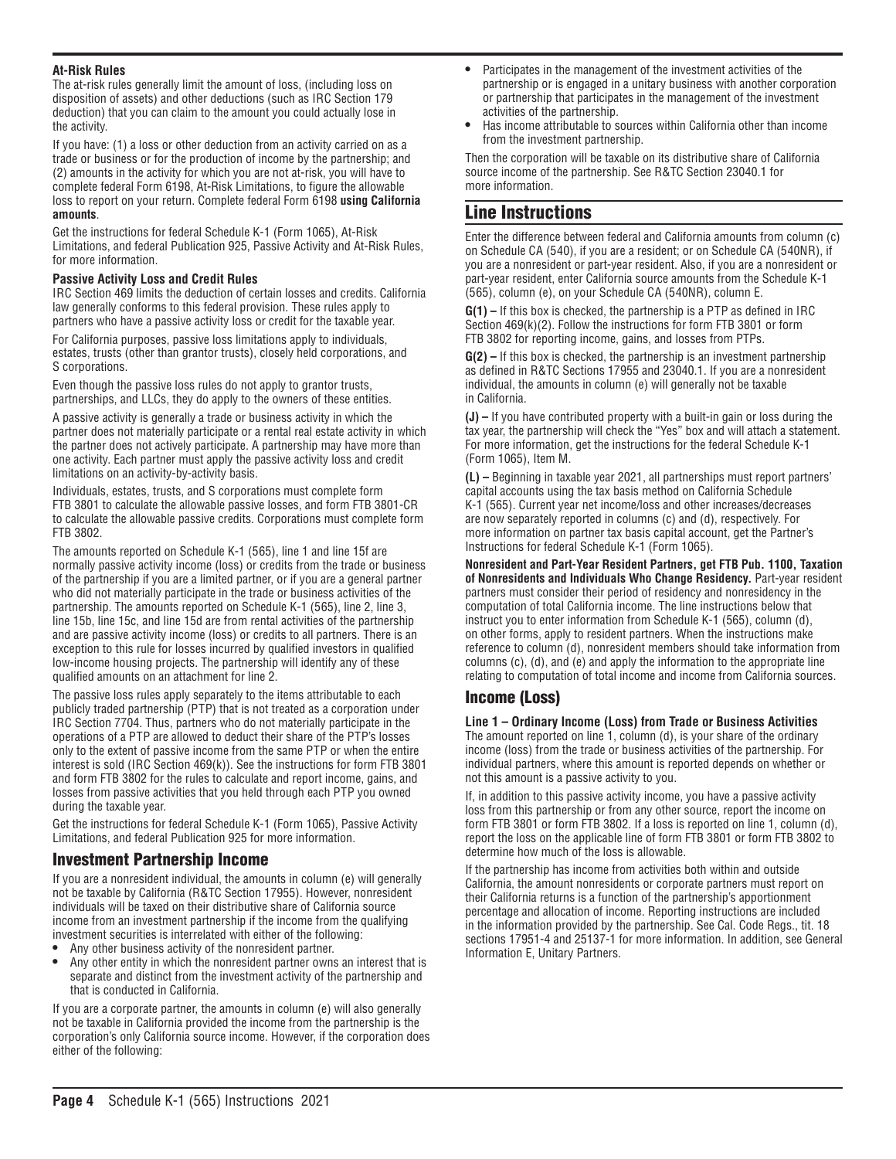### **At-Risk Rules**

The at-risk rules generally limit the amount of loss, (including loss on disposition of assets) and other deductions (such as IRC Section 179 deduction) that you can claim to the amount you could actually lose in the activity.

If you have: (1) a loss or other deduction from an activity carried on as a trade or business or for the production of income by the partnership; and (2) amounts in the activity for which you are not at-risk, you will have to complete federal Form 6198, At-Risk Limitations, to figure the allowable loss to report on your return. Complete federal Form 6198 **using California amounts**.

Get the instructions for federal Schedule K-1 (Form 1065), At-Risk Limitations, and federal Publication 925, Passive Activity and At-Risk Rules, for more information.

#### **Passive Activity Loss and Credit Rules**

IRC Section 469 limits the deduction of certain losses and credits. California law generally conforms to this federal provision. These rules apply to partners who have a passive activity loss or credit for the taxable year.

For California purposes, passive loss limitations apply to individuals, estates, trusts (other than grantor trusts), closely held corporations, and S corporations.

Even though the passive loss rules do not apply to grantor trusts, partnerships, and LLCs, they do apply to the owners of these entities.

A passive activity is generally a trade or business activity in which the partner does not materially participate or a rental real estate activity in which the partner does not actively participate. A partnership may have more than one activity. Each partner must apply the passive activity loss and credit limitations on an activity-by-activity basis.

Individuals, estates, trusts, and S corporations must complete form FTB 3801 to calculate the allowable passive losses, and form FTB 3801-CR to calculate the allowable passive credits. Corporations must complete form FTB 3802.

The amounts reported on Schedule K-1 (565), line 1 and line 15f are normally passive activity income (loss) or credits from the trade or business of the partnership if you are a limited partner, or if you are a general partner who did not materially participate in the trade or business activities of the partnership. The amounts reported on Schedule K-1 (565), line 2, line 3, line 15b, line 15c, and line 15d are from rental activities of the partnership and are passive activity income (loss) or credits to all partners. There is an exception to this rule for losses incurred by qualified investors in qualified low-income housing projects. The partnership will identify any of these qualified amounts on an attachment for line 2.

The passive loss rules apply separately to the items attributable to each publicly traded partnership (PTP) that is not treated as a corporation under IRC Section 7704. Thus, partners who do not materially participate in the operations of a PTP are allowed to deduct their share of the PTP's losses only to the extent of passive income from the same PTP or when the entire interest is sold (IRC Section 469(k)). See the instructions for form FTB 3801 and form FTB 3802 for the rules to calculate and report income, gains, and losses from passive activities that you held through each PTP you owned during the taxable year.

Get the instructions for federal Schedule K-1 (Form 1065), Passive Activity Limitations, and federal Publication 925 for more information.

# Investment Partnership Income

If you are a nonresident individual, the amounts in column (e) will generally not be taxable by California (R&TC Section 17955). However, nonresident individuals will be taxed on their distributive share of California source income from an investment partnership if the income from the qualifying investment securities is interrelated with either of the following:

- **•** Any other business activity of the nonresident partner.
- **•** Any other entity in which the nonresident partner owns an interest that is separate and distinct from the investment activity of the partnership and that is conducted in California.

If you are a corporate partner, the amounts in column (e) will also generally not be taxable in California provided the income from the partnership is the corporation's only California source income. However, if the corporation does either of the following:

- **•** Participates in the management of the investment activities of the partnership or is engaged in a unitary business with another corporation or partnership that participates in the management of the investment activities of the partnership.
- **•** Has income attributable to sources within California other than income from the investment partnership.

Then the corporation will be taxable on its distributive share of California source income of the partnership. See R&TC Section 23040.1 for more information.

# Line Instructions

Enter the difference between federal and California amounts from column (c) on Schedule CA (540), if you are a resident; or on Schedule CA (540NR), if you are a nonresident or part-year resident. Also, if you are a nonresident or part-year resident, enter California source amounts from the Schedule K-1 (565), column (e), on your Schedule CA (540NR), column E.

**G(1) –** If this box is checked, the partnership is a PTP as defined in IRC Section 469(k)(2). Follow the instructions for form FTB 3801 or form FTB 3802 for reporting income, gains, and losses from PTPs.

**G(2) –** If this box is checked, the partnership is an investment partnership as defined in R&TC Sections 17955 and 23040.1. If you are a nonresident individual, the amounts in column (e) will generally not be taxable in California.

**(J) –** If you have contributed property with a built-in gain or loss during the tax year, the partnership will check the "Yes" box and will attach a statement. For more information, get the instructions for the federal Schedule K-1 (Form 1065), Item M.

**(L) –** Beginning in taxable year 2021, all partnerships must report partners' capital accounts using the tax basis method on California Schedule K-1 (565). Current year net income/loss and other increases/decreases are now separately reported in columns (c) and (d), respectively. For more information on partner tax basis capital account, get the Partner's Instructions for federal Schedule K-1 (Form 1065).

**Nonresident and Part-Year Resident Partners, get FTB Pub. 1100, Taxation of Nonresidents and Individuals Who Change Residency.** Part-year resident partners must consider their period of residency and nonresidency in the computation of total California income. The line instructions below that instruct you to enter information from Schedule K-1 (565), column (d), on other forms, apply to resident partners. When the instructions make reference to column (d), nonresident members should take information from columns (c), (d), and (e) and apply the information to the appropriate line relating to computation of total income and income from California sources.

# Income (Loss)

**Line 1 – Ordinary Income (Loss) from Trade or Business Activities** The amount reported on line 1, column (d), is your share of the ordinary income (loss) from the trade or business activities of the partnership. For individual partners, where this amount is reported depends on whether or not this amount is a passive activity to you.

If, in addition to this passive activity income, you have a passive activity loss from this partnership or from any other source, report the income on form FTB 3801 or form FTB 3802. If a loss is reported on line 1, column (d), report the loss on the applicable line of form FTB 3801 or form FTB 3802 to determine how much of the loss is allowable.

If the partnership has income from activities both within and outside California, the amount nonresidents or corporate partners must report on their California returns is a function of the partnership's apportionment percentage and allocation of income. Reporting instructions are included in the information provided by the partnership. See Cal. Code Regs., tit. 18 sections 17951-4 and 25137-1 for more information. In addition, see General Information E, Unitary Partners.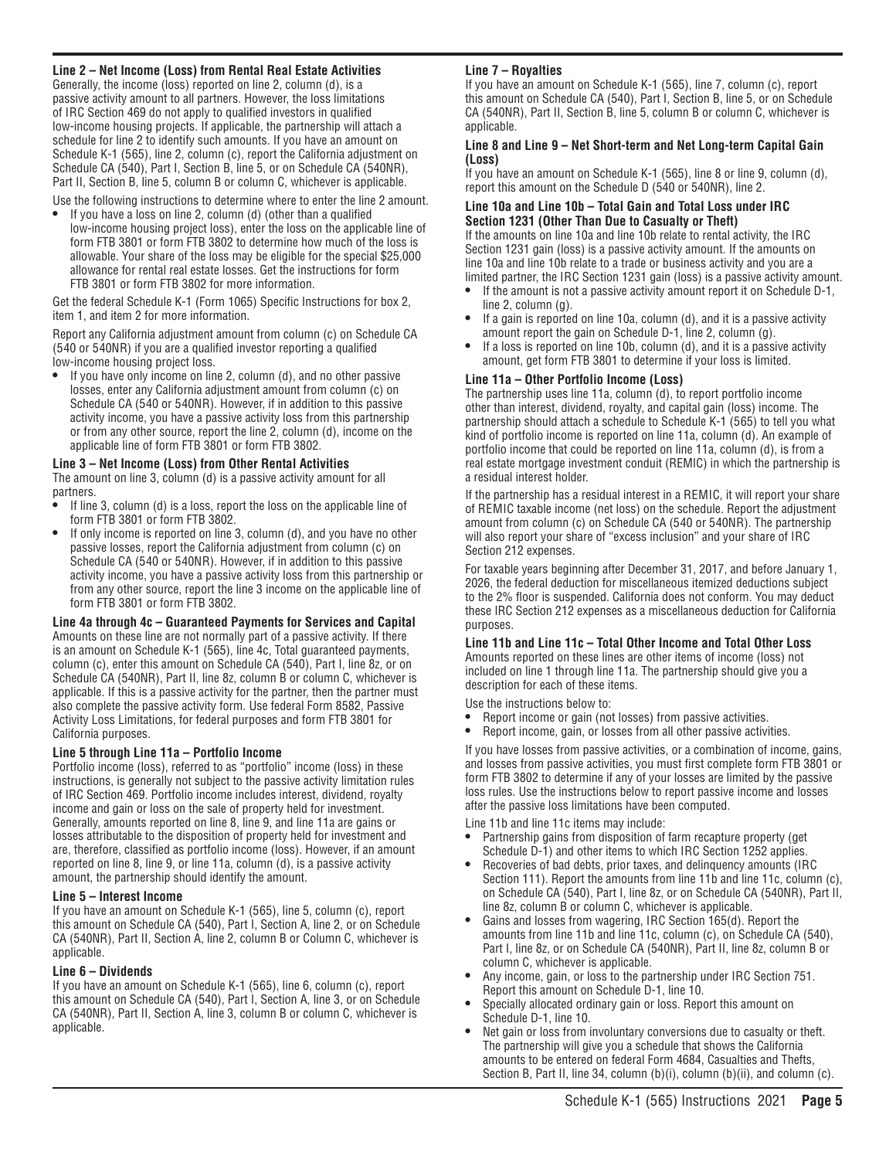### **Line 2 – Net Income (Loss) from Rental Real Estate Activities**

Generally, the income (loss) reported on line 2, column (d), is a passive activity amount to all partners. However, the loss limitations of IRC Section 469 do not apply to qualified investors in qualified low-income housing projects. If applicable, the partnership will attach a schedule for line 2 to identify such amounts. If you have an amount on Schedule K-1 (565), line 2, column (c), report the California adjustment on Schedule CA (540), Part I, Section B, line 5, or on Schedule CA (540NR), Part II, Section B, line 5, column B or column C, whichever is applicable.

Use the following instructions to determine where to enter the line 2 amount.

**•** If you have a loss on line 2, column (d) (other than a qualified low-income housing project loss), enter the loss on the applicable line of form FTB 3801 or form FTB 3802 to determine how much of the loss is allowable. Your share of the loss may be eligible for the special \$25,000 allowance for rental real estate losses. Get the instructions for form FTB 3801 or form FTB 3802 for more information.

Get the federal Schedule K-1 (Form 1065) Specific Instructions for box 2, item 1, and item 2 for more information.

Report any California adjustment amount from column (c) on Schedule CA (540 or 540NR) if you are a qualified investor reporting a qualified low-income housing project loss.

**•** If you have only income on line 2, column (d), and no other passive losses, enter any California adjustment amount from column (c) on Schedule CA (540 or 540NR). However, if in addition to this passive activity income, you have a passive activity loss from this partnership or from any other source, report the line 2, column (d), income on the applicable line of form FTB 3801 or form FTB 3802.

#### **Line 3 – Net Income (Loss) from Other Rental Activities**

The amount on line 3, column (d) is a passive activity amount for all partners.

- **•** If line 3, column (d) is a loss, report the loss on the applicable line of form FTB 3801 or form FTB 3802.
- **•** If only income is reported on line 3, column (d), and you have no other passive losses, report the California adjustment from column (c) on Schedule CA (540 or 540NR). However, if in addition to this passive activity income, you have a passive activity loss from this partnership or from any other source, report the line 3 income on the applicable line of form FTB 3801 or form FTB 3802.

#### **Line 4a through 4c – Guaranteed Payments for Services and Capital**

Amounts on these line are not normally part of a passive activity. If there is an amount on Schedule K-1 (565), line 4c, Total guaranteed payments, column (c), enter this amount on Schedule CA (540), Part I, line 8z, or on Schedule CA (540NR), Part II, line 8z, column B or column C, whichever is applicable. If this is a passive activity for the partner, then the partner must also complete the passive activity form. Use federal Form 8582, Passive Activity Loss Limitations, for federal purposes and form FTB 3801 for California purposes.

#### **Line 5 through Line 11a – Portfolio Income**

Portfolio income (loss), referred to as "portfolio" income (loss) in these instructions, is generally not subject to the passive activity limitation rules of IRC Section 469. Portfolio income includes interest, dividend, royalty income and gain or loss on the sale of property held for investment. Generally, amounts reported on line 8, line 9, and line 11a are gains or losses attributable to the disposition of property held for investment and are, therefore, classified as portfolio income (loss). However, if an amount reported on line 8, line 9, or line 11a, column (d), is a passive activity amount, the partnership should identify the amount.

#### **Line 5 – Interest Income**

If you have an amount on Schedule K-1 (565), line 5, column (c), report this amount on Schedule CA (540), Part I, Section A, line 2, or on Schedule CA (540NR), Part II, Section A, line 2, column B or Column C, whichever is applicable.

#### **Line 6 – Dividends**

If you have an amount on Schedule K-1 (565), line 6, column (c), report this amount on Schedule CA (540), Part I, Section A, line 3, or on Schedule CA (540NR), Part II, Section A, line 3, column B or column C, whichever is applicable.

#### **Line 7 – Royalties**

If you have an amount on Schedule K-1 (565), line 7, column (c), report this amount on Schedule CA (540), Part I, Section B, line 5, or on Schedule CA (540NR), Part II, Section B, line 5, column B or column C, whichever is applicable.

#### **Line 8 and Line 9 – Net Short-term and Net Long-term Capital Gain (Loss)**

If you have an amount on Schedule K-1 (565), line 8 or line 9, column (d), report this amount on the Schedule D (540 or 540NR), line 2.

#### **Line 10a and Line 10b – Total Gain and Total Loss under IRC Section 1231 (Other Than Due to Casualty or Theft)**

If the amounts on line 10a and line 10b relate to rental activity, the IRC Section 1231 gain (loss) is a passive activity amount. If the amounts on line 10a and line 10b relate to a trade or business activity and you are a limited partner, the IRC Section 1231 gain (loss) is a passive activity amount.

- **•** If the amount is not a passive activity amount report it on Schedule D-1, line 2, column (g).
- **•** If a gain is reported on line 10a, column (d), and it is a passive activity amount report the gain on Schedule D-1, line 2, column (g).
- **•** If a loss is reported on line 10b, column (d), and it is a passive activity amount, get form FTB 3801 to determine if your loss is limited.

#### **Line 11a – Other Portfolio Income (Loss)**

The partnership uses line 11a, column (d), to report portfolio income other than interest, dividend, royalty, and capital gain (loss) income. The partnership should attach a schedule to Schedule K-1 (565) to tell you what kind of portfolio income is reported on line 11a, column (d). An example of portfolio income that could be reported on line 11a, column (d), is from a real estate mortgage investment conduit (REMIC) in which the partnership is a residual interest holder.

If the partnership has a residual interest in a REMIC, it will report your share of REMIC taxable income (net loss) on the schedule. Report the adjustment amount from column (c) on Schedule CA (540 or 540NR). The partnership will also report your share of "excess inclusion" and your share of IRC Section 212 expenses.

For taxable years beginning after December 31, 2017, and before January 1, 2026, the federal deduction for miscellaneous itemized deductions subject to the 2% floor is suspended. California does not conform. You may deduct these IRC Section 212 expenses as a miscellaneous deduction for California purposes.

#### **Line 11b and Line 11c – Total Other Income and Total Other Loss**

Amounts reported on these lines are other items of income (loss) not included on line 1 through line 11a. The partnership should give you a description for each of these items.

Use the instructions below to:

- **•** Report income or gain (not losses) from passive activities.
- **•** Report income, gain, or losses from all other passive activities.

If you have losses from passive activities, or a combination of income, gains, and losses from passive activities, you must first complete form FTB 3801 or form FTB 3802 to determine if any of your losses are limited by the passive loss rules. Use the instructions below to report passive income and losses after the passive loss limitations have been computed.

Line 11b and line 11c items may include:

- **•** Partnership gains from disposition of farm recapture property (get Schedule D-1) and other items to which IRC Section 1252 applies.
- **•** Recoveries of bad debts, prior taxes, and delinquency amounts (IRC Section 111). Report the amounts from line 11b and line 11c, column (c), on Schedule CA (540), Part I, line 8z, or on Schedule CA (540NR), Part II, line 8z, column B or column C, whichever is applicable.
- **•** Gains and losses from wagering, IRC Section 165(d). Report the amounts from line 11b and line 11c, column (c), on Schedule CA (540), Part I, line 8z, or on Schedule CA (540NR), Part II, line 8z, column B or column C, whichever is applicable.
- **•** Any income, gain, or loss to the partnership under IRC Section 751. Report this amount on Schedule D-1, line 10.
- **•** Specially allocated ordinary gain or loss. Report this amount on Schedule D-1, line 10.
- **•** Net gain or loss from involuntary conversions due to casualty or theft. The partnership will give you a schedule that shows the California amounts to be entered on federal Form 4684, Casualties and Thefts, Section B, Part II, line 34, column (b)(i), column (b)(ii), and column (c).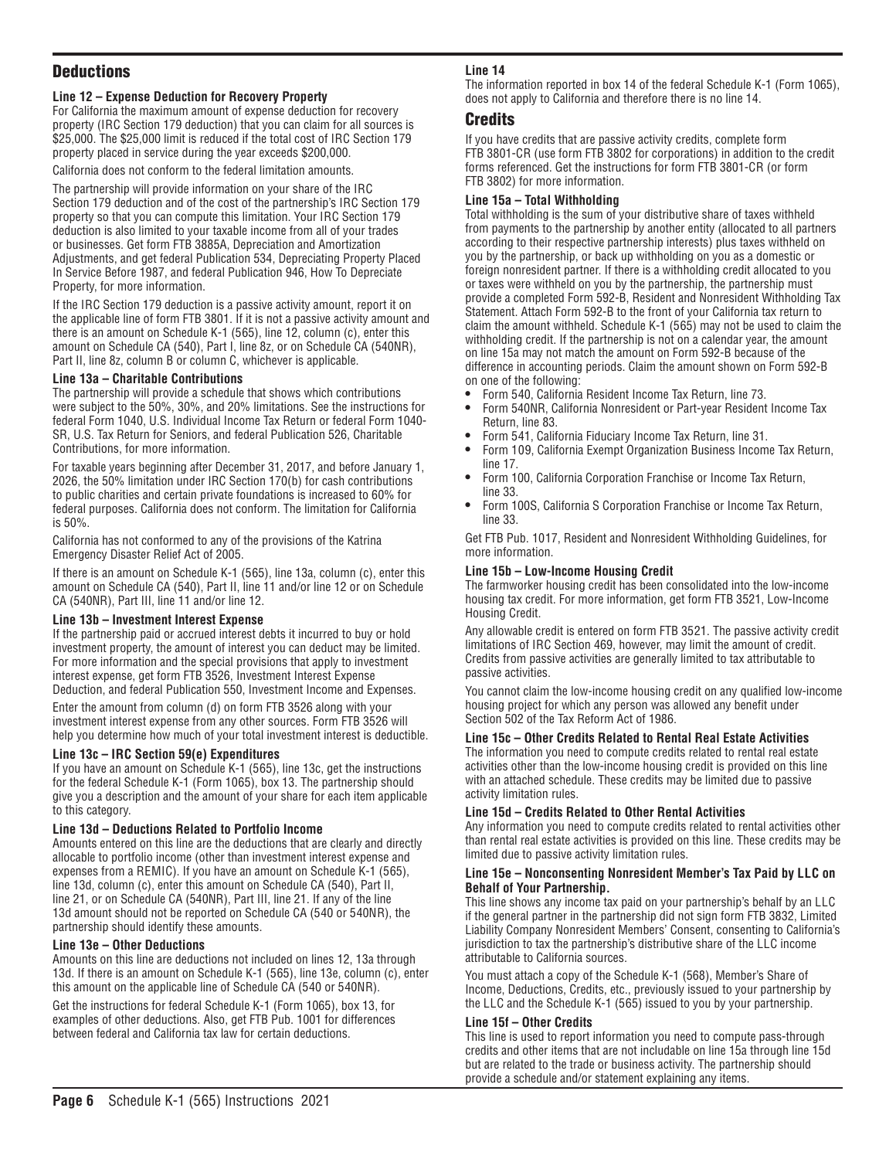# **Deductions**

### **Line 12 – Expense Deduction for Recovery Property**

For California the maximum amount of expense deduction for recovery property (IRC Section 179 deduction) that you can claim for all sources is \$25,000. The \$25,000 limit is reduced if the total cost of IRC Section 179 property placed in service during the year exceeds \$200,000.

California does not conform to the federal limitation amounts.

The partnership will provide information on your share of the IRC Section 179 deduction and of the cost of the partnership's IRC Section 179 property so that you can compute this limitation. Your IRC Section 179 deduction is also limited to your taxable income from all of your trades or businesses. Get form FTB 3885A, Depreciation and Amortization Adjustments, and get federal Publication 534, Depreciating Property Placed In Service Before 1987, and federal Publication 946, How To Depreciate Property, for more information.

If the IRC Section 179 deduction is a passive activity amount, report it on the applicable line of form FTB 3801. If it is not a passive activity amount and there is an amount on Schedule K-1 (565), line 12, column (c), enter this amount on Schedule CA (540), Part I, line 8z, or on Schedule CA (540NR), Part II, line 8z, column B or column C, whichever is applicable.

#### **Line 13a – Charitable Contributions**

The partnership will provide a schedule that shows which contributions were subject to the 50%, 30%, and 20% limitations. See the instructions for federal Form 1040, U.S. Individual Income Tax Return or federal Form 1040- SR, U.S. Tax Return for Seniors, and federal Publication 526, Charitable Contributions, for more information.

For taxable years beginning after December 31, 2017, and before January 1, 2026, the 50% limitation under IRC Section 170(b) for cash contributions to public charities and certain private foundations is increased to 60% for federal purposes. California does not conform. The limitation for California is 50%.

California has not conformed to any of the provisions of the Katrina Emergency Disaster Relief Act of 2005.

If there is an amount on Schedule K-1 (565), line 13a, column (c), enter this amount on Schedule CA (540), Part II, line 11 and/or line 12 or on Schedule CA (540NR), Part III, line 11 and/or line 12.

#### **Line 13b – Investment Interest Expense**

If the partnership paid or accrued interest debts it incurred to buy or hold investment property, the amount of interest you can deduct may be limited. For more information and the special provisions that apply to investment interest expense, get form FTB 3526, Investment Interest Expense Deduction, and federal Publication 550, Investment Income and Expenses.

Enter the amount from column (d) on form FTB 3526 along with your investment interest expense from any other sources. Form FTB 3526 will help you determine how much of your total investment interest is deductible.

#### **Line 13c – IRC Section 59(e) Expenditures**

If you have an amount on Schedule K-1 (565), line 13c, get the instructions for the federal Schedule K-1 (Form 1065), box 13. The partnership should give you a description and the amount of your share for each item applicable to this category.

#### **Line 13d – Deductions Related to Portfolio Income**

Amounts entered on this line are the deductions that are clearly and directly allocable to portfolio income (other than investment interest expense and expenses from a REMIC). If you have an amount on Schedule K-1 (565), line 13d, column (c), enter this amount on Schedule CA (540), Part II, line 21, or on Schedule CA (540NR), Part III, line 21. If any of the line 13d amount should not be reported on Schedule CA (540 or 540NR), the partnership should identify these amounts.

#### **Line 13e – Other Deductions**

Amounts on this line are deductions not included on lines 12, 13a through 13d. If there is an amount on Schedule K-1 (565), line 13e, column (c), enter this amount on the applicable line of Schedule CA (540 or 540NR).

Get the instructions for federal Schedule K-1 (Form 1065), box 13, for examples of other deductions. Also, get FTB Pub. 1001 for differences between federal and California tax law for certain deductions.

#### **Line 14**

The information reported in box 14 of the federal Schedule K-1 (Form 1065), does not apply to California and therefore there is no line 14.

### Credits

If you have credits that are passive activity credits, complete form FTB 3801-CR (use form FTB 3802 for corporations) in addition to the credit forms referenced. Get the instructions for form FTB 3801-CR (or form FTB 3802) for more information.

#### **Line 15a – Total Withholding**

Total withholding is the sum of your distributive share of taxes withheld from payments to the partnership by another entity (allocated to all partners according to their respective partnership interests) plus taxes withheld on you by the partnership, or back up withholding on you as a domestic or foreign nonresident partner. If there is a withholding credit allocated to you or taxes were withheld on you by the partnership, the partnership must provide a completed Form 592-B, Resident and Nonresident Withholding Tax Statement. Attach Form 592-B to the front of your California tax return to claim the amount withheld. Schedule K-1 (565) may not be used to claim the withholding credit. If the partnership is not on a calendar year, the amount on line 15a may not match the amount on Form 592-B because of the difference in accounting periods. Claim the amount shown on Form 592-B on one of the following:

- **•** Form 540, California Resident Income Tax Return, line 73.
- **•** Form 540NR, California Nonresident or Part-year Resident Income Tax Return, line 83.
- **•** Form 541, California Fiduciary Income Tax Return, line 31.
- **•** Form 109, California Exempt Organization Business Income Tax Return, line 17.
- **•** Form 100, California Corporation Franchise or Income Tax Return, line 33.
- **•** Form 100S, California S Corporation Franchise or Income Tax Return, line 33.

Get FTB Pub. 1017, Resident and Nonresident Withholding Guidelines, for more information.

#### **Line 15b – Low-Income Housing Credit**

The farmworker housing credit has been consolidated into the low-income housing tax credit. For more information, get form FTB 3521, Low-Income Housing Credit.

Any allowable credit is entered on form FTB 3521. The passive activity credit limitations of IRC Section 469, however, may limit the amount of credit. Credits from passive activities are generally limited to tax attributable to passive activities.

You cannot claim the low-income housing credit on any qualified low-income housing project for which any person was allowed any benefit under Section 502 of the Tax Reform Act of 1986.

#### **Line 15c – Other Credits Related to Rental Real Estate Activities**

The information you need to compute credits related to rental real estate activities other than the low-income housing credit is provided on this line with an attached schedule. These credits may be limited due to passive activity limitation rules.

#### **Line 15d – Credits Related to Other Rental Activities**

Any information you need to compute credits related to rental activities other than rental real estate activities is provided on this line. These credits may be limited due to passive activity limitation rules.

#### **Line 15e – Nonconsenting Nonresident Member's Tax Paid by LLC on Behalf of Your Partnership.**

This line shows any income tax paid on your partnership's behalf by an LLC if the general partner in the partnership did not sign form FTB 3832, Limited Liability Company Nonresident Members' Consent, consenting to California's jurisdiction to tax the partnership's distributive share of the LLC income attributable to California sources.

You must attach a copy of the Schedule K-1 (568), Member's Share of Income, Deductions, Credits, etc., previously issued to your partnership by the LLC and the Schedule K-1 (565) issued to you by your partnership.

#### **Line 15f – Other Credits**

This line is used to report information you need to compute pass-through credits and other items that are not includable on line 15a through line 15d but are related to the trade or business activity. The partnership should provide a schedule and/or statement explaining any items.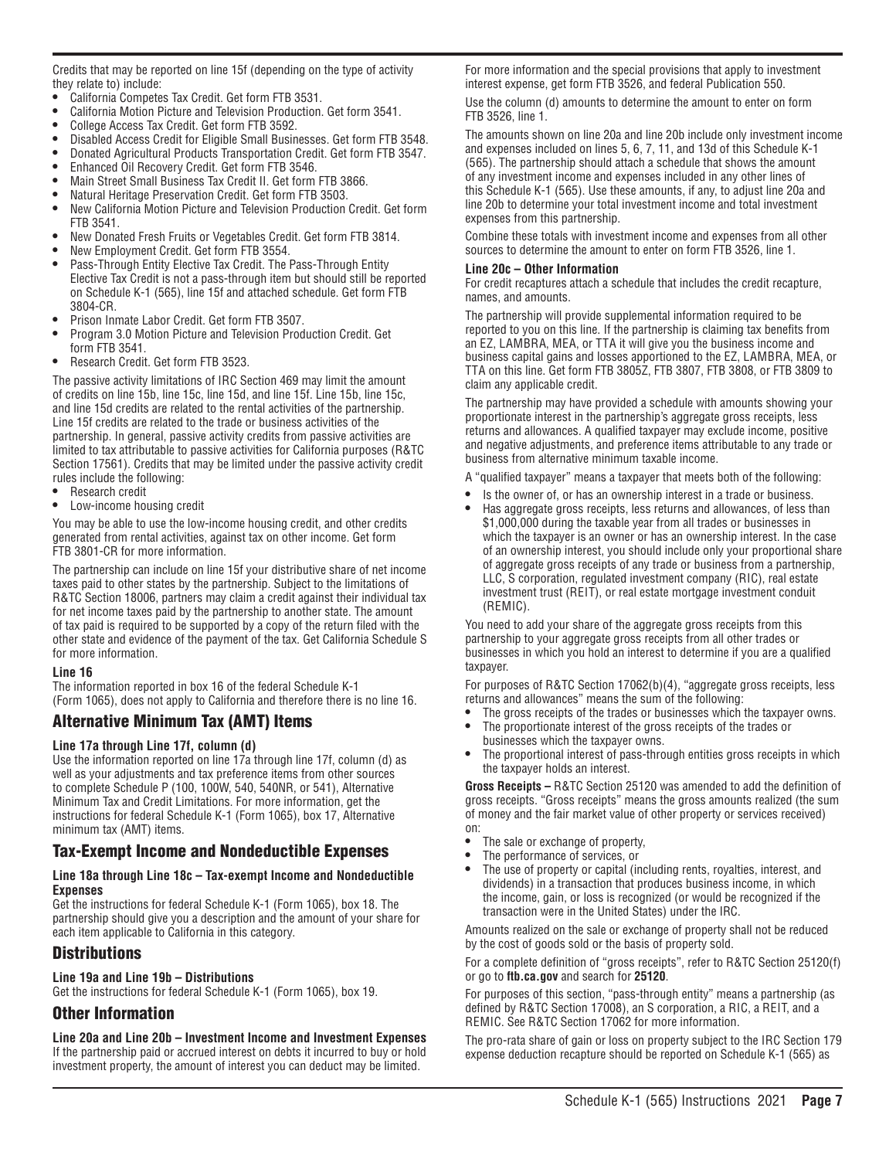Credits that may be reported on line 15f (depending on the type of activity they relate to) include:

- California Competes Tax Credit. Get form FTB 3531.
- **•** California Motion Picture and Television Production. Get form 3541.
- **•** College Access Tax Credit. Get form FTB 3592.
- **•** Disabled Access Credit for Eligible Small Businesses. Get form FTB 3548.
- **•** Donated Agricultural Products Transportation Credit. Get form FTB 3547.
- **•** Enhanced Oil Recovery Credit. Get form FTB 3546.
- **•** Main Street Small Business Tax Credit II. Get form FTB 3866.
- **•** Natural Heritage Preservation Credit. Get form FTB 3503.
- **•** New California Motion Picture and Television Production Credit. Get form FTB 3541.
- **•** New Donated Fresh Fruits or Vegetables Credit. Get form FTB 3814.
- **•** New Employment Credit. Get form FTB 3554.
- **•** Pass-Through Entity Elective Tax Credit. The Pass-Through Entity Elective Tax Credit is not a pass-through item but should still be reported on Schedule K-1 (565), line 15f and attached schedule. Get form FTB 3804-CR.
- **•** Prison Inmate Labor Credit. Get form FTB 3507.
- **•** Program 3.0 Motion Picture and Television Production Credit. Get form FTB 3541.
- **•** Research Credit. Get form FTB 3523.

The passive activity limitations of IRC Section 469 may limit the amount of credits on line 15b, line 15c, line 15d, and line 15f. Line 15b, line 15c, and line 15d credits are related to the rental activities of the partnership. Line 15f credits are related to the trade or business activities of the partnership. In general, passive activity credits from passive activities are limited to tax attributable to passive activities for California purposes (R&TC Section 17561). Credits that may be limited under the passive activity credit rules include the following:

- **•** Research credit
- **•** Low-income housing credit

You may be able to use the low-income housing credit, and other credits generated from rental activities, against tax on other income. Get form FTB 3801-CR for more information.

The partnership can include on line 15f your distributive share of net income taxes paid to other states by the partnership. Subject to the limitations of R&TC Section 18006, partners may claim a credit against their individual tax for net income taxes paid by the partnership to another state. The amount of tax paid is required to be supported by a copy of the return filed with the other state and evidence of the payment of the tax. Get California Schedule S for more information.

#### **Line 16**

The information reported in box 16 of the federal Schedule K-1 (Form 1065), does not apply to California and therefore there is no line 16.

# Alternative Minimum Tax (AMT) Items

#### **Line 17a through Line 17f, column (d)**

Use the information reported on line 17a through line 17f, column (d) as well as your adjustments and tax preference items from other sources to complete Schedule P (100, 100W, 540, 540NR, or 541), Alternative Minimum Tax and Credit Limitations. For more information, get the instructions for federal Schedule K-1 (Form 1065), box 17, Alternative minimum tax (AMT) items.

# Tax-Exempt Income and Nondeductible Expenses

#### **Line 18a through Line 18c – Tax-exempt Income and Nondeductible Expenses**

Get the instructions for federal Schedule K-1 (Form 1065), box 18. The partnership should give you a description and the amount of your share for each item applicable to California in this category.

# Distributions

#### **Line 19a and Line 19b – Distributions**

Get the instructions for federal Schedule K-1 (Form 1065), box 19.

# Other Information

**Line 20a and Line 20b – Investment Income and Investment Expenses** If the partnership paid or accrued interest on debts it incurred to buy or hold investment property, the amount of interest you can deduct may be limited.

For more information and the special provisions that apply to investment interest expense, get form FTB 3526, and federal Publication 550. Use the column (d) amounts to determine the amount to enter on form FTB 3526, line 1.

The amounts shown on line 20a and line 20b include only investment income and expenses included on lines 5, 6, 7, 11, and 13d of this Schedule K-1 (565). The partnership should attach a schedule that shows the amount of any investment income and expenses included in any other lines of this Schedule K-1 (565). Use these amounts, if any, to adjust line 20a and line 20b to determine your total investment income and total investment expenses from this partnership.

Combine these totals with investment income and expenses from all other sources to determine the amount to enter on form FTB 3526, line 1.

#### **Line 20c – Other Information**

For credit recaptures attach a schedule that includes the credit recapture, names, and amounts.

The partnership will provide supplemental information required to be reported to you on this line. If the partnership is claiming tax benefits from an EZ, LAMBRA, MEA, or TTA it will give you the business income and business capital gains and losses apportioned to the EZ, LAMBRA, MEA, or TTA on this line. Get form FTB 3805Z, FTB 3807, FTB 3808, or FTB 3809 to claim any applicable credit.

The partnership may have provided a schedule with amounts showing your proportionate interest in the partnership's aggregate gross receipts, less returns and allowances. A qualified taxpayer may exclude income, positive and negative adjustments, and preference items attributable to any trade or business from alternative minimum taxable income.

- A "qualified taxpayer" means a taxpayer that meets both of the following:
- **•** Is the owner of, or has an ownership interest in a trade or business.
- **•** Has aggregate gross receipts, less returns and allowances, of less than \$1,000,000 during the taxable year from all trades or businesses in which the taxpayer is an owner or has an ownership interest. In the case of an ownership interest, you should include only your proportional share of aggregate gross receipts of any trade or business from a partnership, LLC, S corporation, regulated investment company (RIC), real estate investment trust (REIT), or real estate mortgage investment conduit (REMIC).

You need to add your share of the aggregate gross receipts from this partnership to your aggregate gross receipts from all other trades or businesses in which you hold an interest to determine if you are a qualified taxpayer.

For purposes of R&TC Section 17062(b)(4), "aggregate gross receipts, less returns and allowances" means the sum of the following:

- The gross receipts of the trades or businesses which the taxpayer owns.<br>• The proportionate interest of the gross receipts of the trades or **•** The proportionate interest of the gross receipts of the trades or
- businesses which the taxpayer owns.
- **•** The proportional interest of pass-through entities gross receipts in which the taxpayer holds an interest.

**Gross Receipts –** R&TC Section 25120 was amended to add the definition of gross receipts. "Gross receipts" means the gross amounts realized (the sum of money and the fair market value of other property or services received)

- on: **•** The sale or exchange of property,
- **•** The performance of services, or
- **•** The use of property or capital (including rents, royalties, interest, and dividends) in a transaction that produces business income, in which the income, gain, or loss is recognized (or would be recognized if the transaction were in the United States) under the IRC.

Amounts realized on the sale or exchange of property shall not be reduced by the cost of goods sold or the basis of property sold.

For a complete definition of "gross receipts", refer to R&TC Section 25120(f) or go to **ftb.ca.gov** and search for **25120**.

For purposes of this section, "pass-through entity" means a partnership (as defined by R&TC Section 17008), an S corporation, a RIC, a REIT, and a REMIC. See R&TC Section 17062 for more information.

The pro-rata share of gain or loss on property subject to the IRC Section 179 expense deduction recapture should be reported on Schedule K-1 (565) as